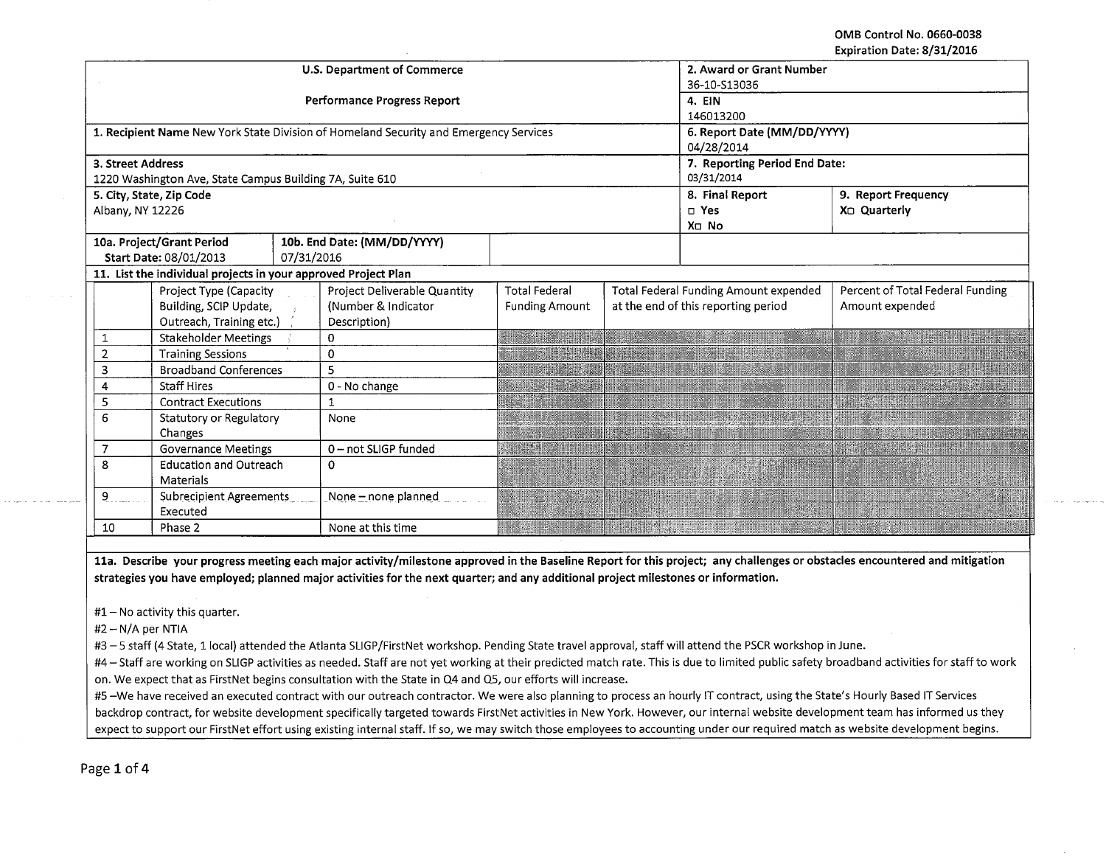**OMB Control No. 0660-0038 Expiration Date: 8/31/2016** 

|                                    |                                                                |                     | U.S. Department of Commerce                                                           | 2. Award or Grant Number      |  |                                       |                                  |
|------------------------------------|----------------------------------------------------------------|---------------------|---------------------------------------------------------------------------------------|-------------------------------|--|---------------------------------------|----------------------------------|
|                                    |                                                                |                     |                                                                                       | 36-10-S13036                  |  |                                       |                                  |
|                                    |                                                                |                     | Performance Progress Report                                                           | 4. EIN                        |  |                                       |                                  |
|                                    |                                                                |                     |                                                                                       | 146013200                     |  |                                       |                                  |
|                                    |                                                                |                     | 1. Recipient Name New York State Division of Homeland Security and Emergency Services | 6. Report Date (MM/DD/YYYY)   |  |                                       |                                  |
|                                    |                                                                |                     |                                                                                       | 04/28/2014                    |  |                                       |                                  |
| 3. Street Address                  |                                                                |                     |                                                                                       | 7. Reporting Period End Date: |  |                                       |                                  |
|                                    | 1220 Washington Ave, State Campus Building 7A, Suite 610       |                     |                                                                                       | 03/31/2014                    |  |                                       |                                  |
|                                    | 5. City, State, Zip Code                                       |                     |                                                                                       |                               |  | 8. Final Report                       | 9. Report Frequency              |
| Albany, NY 12226                   |                                                                |                     |                                                                                       |                               |  | $\square$ Yes                         | X <sub>D</sub> Quarterly         |
|                                    |                                                                |                     |                                                                                       |                               |  | X□ No                                 |                                  |
|                                    | 10a. Project/Grant Period                                      |                     | 10b. End Date: (MM/DD/YYYY)                                                           |                               |  |                                       |                                  |
|                                    | Start Date: 08/01/2013                                         | 07/31/2016          |                                                                                       |                               |  |                                       |                                  |
|                                    | 11. List the individual projects in your approved Project Plan |                     |                                                                                       |                               |  |                                       |                                  |
|                                    | Project Type (Capacity                                         |                     | Project Deliverable Quantity                                                          | <b>Total Federal</b>          |  | Total Federal Funding Amount expended | Percent of Total Federal Funding |
|                                    | Building, SCIP Update,                                         |                     | (Number & Indicator                                                                   | <b>Funding Amount</b>         |  | at the end of this reporting period   | Amount expended                  |
|                                    | Outreach, Training etc.)                                       |                     | Description)                                                                          |                               |  |                                       |                                  |
| $\mathbf{1}$                       | <b>Stakeholder Meetings</b>                                    |                     | 0                                                                                     |                               |  |                                       |                                  |
| 2                                  | <b>Training Sessions</b>                                       |                     | 0                                                                                     |                               |  |                                       |                                  |
| 3<br><b>Broadband Conferences</b>  |                                                                | 5                   |                                                                                       |                               |  |                                       |                                  |
| <b>Staff Hires</b><br>4            |                                                                | 0 - No change       |                                                                                       |                               |  |                                       |                                  |
| 5<br><b>Contract Executions</b>    |                                                                | $\mathbf{1}$        |                                                                                       |                               |  |                                       |                                  |
| 6<br>Statutory or Regulatory       |                                                                | None                |                                                                                       |                               |  |                                       |                                  |
| Changes                            |                                                                |                     |                                                                                       |                               |  |                                       |                                  |
| <b>Governance Meetings</b><br>7    |                                                                | 0-not SLIGP funded  |                                                                                       |                               |  |                                       |                                  |
| 8<br><b>Education and Outreach</b> |                                                                | 0                   |                                                                                       |                               |  |                                       |                                  |
| Materials                          |                                                                |                     |                                                                                       |                               |  |                                       |                                  |
| 9<br>Subrecipient Agreements       |                                                                | None - none planned |                                                                                       |                               |  |                                       |                                  |
|                                    | Executed                                                       |                     |                                                                                       |                               |  |                                       |                                  |
| Phase 2<br>10                      |                                                                | None at this time   | ₩                                                                                     |                               |  |                                       |                                  |
|                                    |                                                                |                     |                                                                                       |                               |  |                                       |                                  |

**lla. Describe your progress meeting each major activity/milestone approved in the Baseline Report for this project; any challenges or obstacles encountered and mitigation strategies you have employed; planned major activities for the next quarter; and any additional project milestones or information.** 

 $#1 -$  No activity this quarter.

#2- N/A per NTIA

#3- 5 staff (4 State, 11ocal} attended the Atlanta SLIGP/FirstNet workshop. Pending State travel approval, staff will attend the PSCR workshop in June.

#4- Staff are working on SLIGP activities as needed. Staff are not yet working at their predicted match rate. This is due to limited public safety broadband activities for staff to work on. We expect that as FirstNet begins consultation with the State in Q4 and Q5, our efforts will increase.

#5 -We have received an executed contract with our outreach contractor. We were also planning to process an hourly IT contract, using the State's Hourly Based IT Services backdrop contract, for website development specifically targeted towards FirstNet activities in New York. However, our internal website development team has informed us they expect to support our FirstNet effort using existing internal staff. If so, we may switch those employees to accounting under our required match as website development begins.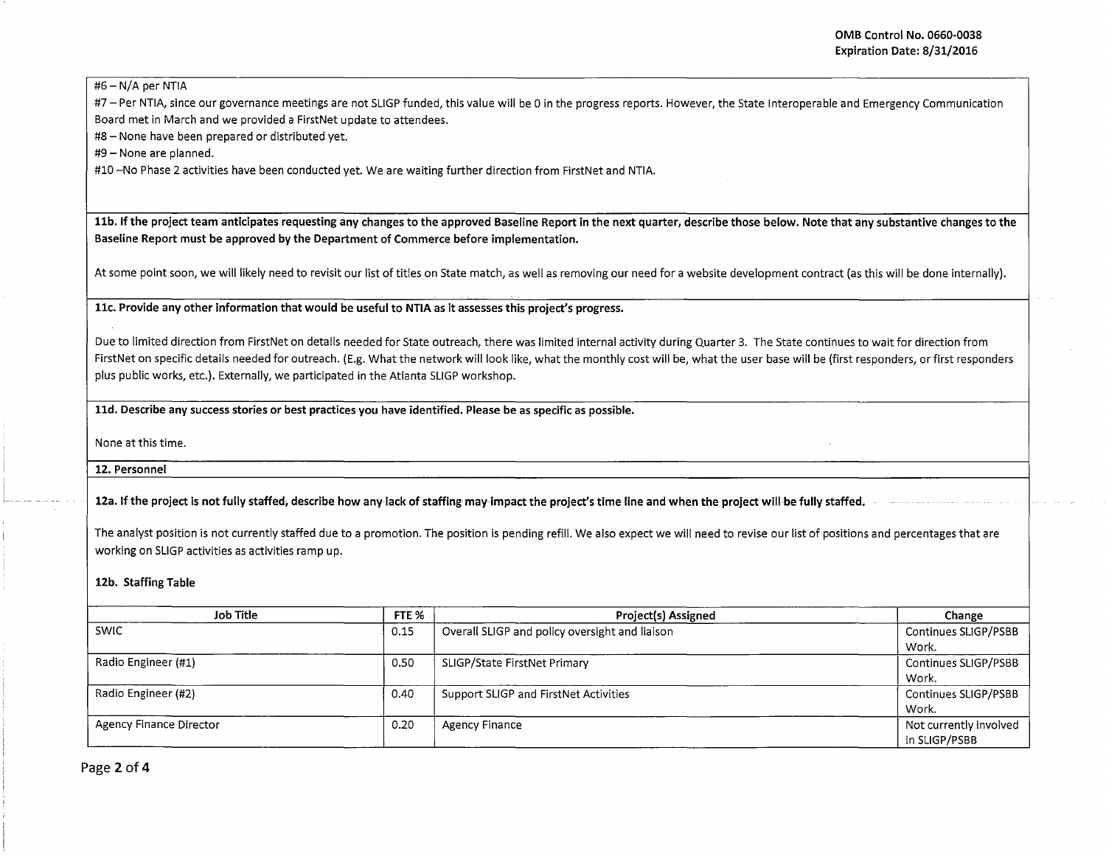$#6 - N/A$  per NTIA

#7- Per NTIA, since our governance meetings are not SLIGP funded, this value will be 0 in the progress reports. However, the State Interoperable and Emergency Communication Board met in March and we provided a FirstNet update to attendees.

#8- None have been prepared or distributed yet.

#9- None are planned.

#10 -No Phase 2 activities have been conducted yet. We are waiting further direction from FirstNet and NTIA.

11b. If the project team anticipates requesting any changes to the approved Baseline Report in the next quarter, describe those below. Note that any substantive changes to the Baseline Report must be approved by the Department of Commerce before implementation.

At some point soon, we will likely need to revisit our list of titles on State match, as well as removing our need for a website development contract (as this will be done internally).

llc. Provide any other information that would be useful to NTIA as it assesses this project's progress.

Due to limited direction from FirstNet on details needed for State outreach, there was limited internal activity during Quarter 3. The State continues to wait for direction from FirstNet on specific details needed for outreach. (E.g. What the network will look like, what the monthly cost will be, what the user base will be (first responders, or first responders plus public works, etc.). Externally, we participated in the Atlanta SLIGP workshop.

lld. Describe any success stories or best practices you have identified. Please be as specific as possible.

None at this time.

12. Personnel

[\_.

12a. If the project is not fully staffed, describe how any lack of staffing may impact the project's time line and when the project will be fully staffed.

The analyst position is not currently staffed due to a promotion. The position is pending refill. We also expect we will need to revise our list of positions and percentages that are working on SLIGP activities as activities ramp up.

## 12b. Staffing Table

| Job Title               | FTE % | <b>Project(s) Assigned</b>                     | Change                 |
|-------------------------|-------|------------------------------------------------|------------------------|
| <b>SWIC</b>             | 0.15  | Overall SLIGP and policy oversight and liaison | Continues SLIGP/PSBB   |
|                         |       |                                                | Work.                  |
| Radio Engineer (#1)     | 0.50  | SLIGP/State FirstNet Primary                   | Continues SLIGP/PSBB   |
|                         |       |                                                | Work.                  |
| Radio Engineer (#2)     | 0.40  | Support SLIGP and FirstNet Activities          | Continues SLIGP/PSBB   |
|                         |       |                                                | Work.                  |
| Agency Finance Director | 0.20  | Agency Finance                                 | Not currently involved |
|                         |       |                                                | in SLIGP/PSBB          |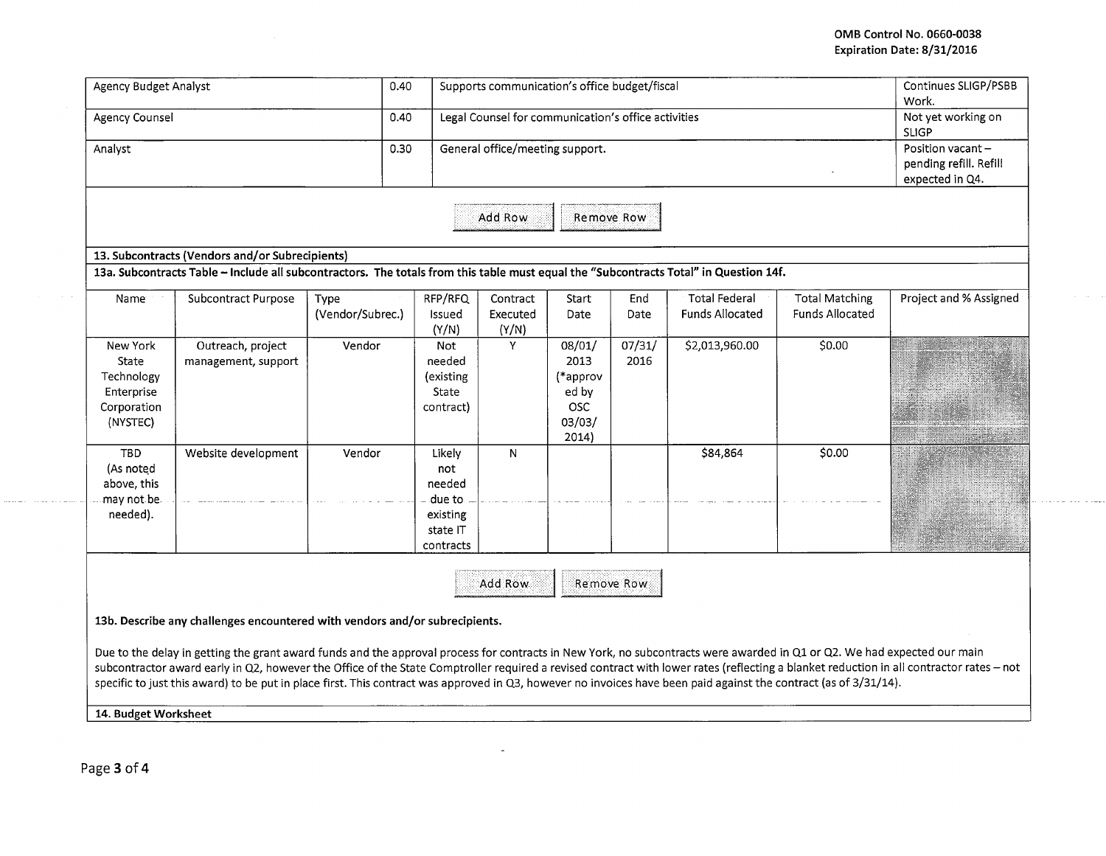## **OMB Control No. 0660-0038 Expiration Date: 8/31/2016**

 $\alpha$  ,  $\alpha$  ,  $\beta$ 

| <b>Agency Budget Analyst</b>                                             |                                                                                                                                                                                                                                                                                                                                                                                                                              | 0.40                     |                                                                        | Supports communication's office budget/fiscal       |                                                                      |                |                                                |                                                 | Continues SLIGP/PSBB<br>Work.                                                                                                                                                           |
|--------------------------------------------------------------------------|------------------------------------------------------------------------------------------------------------------------------------------------------------------------------------------------------------------------------------------------------------------------------------------------------------------------------------------------------------------------------------------------------------------------------|--------------------------|------------------------------------------------------------------------|-----------------------------------------------------|----------------------------------------------------------------------|----------------|------------------------------------------------|-------------------------------------------------|-----------------------------------------------------------------------------------------------------------------------------------------------------------------------------------------|
| Agency Counsel                                                           |                                                                                                                                                                                                                                                                                                                                                                                                                              | 0.40                     |                                                                        | Legal Counsel for communication's office activities |                                                                      |                |                                                |                                                 | Not yet working on<br><b>SLIGP</b>                                                                                                                                                      |
| Analyst                                                                  |                                                                                                                                                                                                                                                                                                                                                                                                                              | 0.30                     |                                                                        | General office/meeting support.                     |                                                                      |                |                                                |                                                 | Position vacant-<br>pending refill. Refill<br>expected in Q4.                                                                                                                           |
|                                                                          |                                                                                                                                                                                                                                                                                                                                                                                                                              |                          |                                                                        | Add Row                                             | Remove Row                                                           |                |                                                |                                                 |                                                                                                                                                                                         |
|                                                                          | 13. Subcontracts (Vendors and/or Subrecipients)                                                                                                                                                                                                                                                                                                                                                                              |                          |                                                                        |                                                     |                                                                      |                |                                                |                                                 |                                                                                                                                                                                         |
|                                                                          | 13a. Subcontracts Table -- Include all subcontractors. The totals from this table must equal the "Subcontracts Total" in Question 14f.                                                                                                                                                                                                                                                                                       |                          |                                                                        |                                                     |                                                                      |                |                                                |                                                 |                                                                                                                                                                                         |
| Name                                                                     | Subcontract Purpose                                                                                                                                                                                                                                                                                                                                                                                                          | Type<br>(Vendor/Subrec.) | RFP/RFQ<br>Issued<br>(Y/N)                                             | Contract<br>Executed<br>(Y/N)                       | Start<br>Date                                                        | End<br>Date    | <b>Total Federal</b><br><b>Funds Allocated</b> | <b>Total Matching</b><br><b>Funds Allocated</b> | Project and % Assigned                                                                                                                                                                  |
| New York<br>State<br>Technology<br>Enterprise<br>Corporation<br>(NYSTEC) | Outreach, project<br>management, support                                                                                                                                                                                                                                                                                                                                                                                     | Vendor                   | Not<br>needed<br>(existing<br>State<br>contract)                       | Y                                                   | 08/01/<br>2013<br>(*approv<br>ed by<br><b>OSC</b><br>03/03/<br>2014) | 07/31/<br>2016 | \$2,013,960.00                                 | \$0.00                                          |                                                                                                                                                                                         |
| <b>TBD</b><br>(As noted<br>above, this<br>may not be.<br>needed).        | Website development                                                                                                                                                                                                                                                                                                                                                                                                          | Vendor                   | Likely<br>not<br>needed<br>due to<br>existing<br>state IT<br>contracts | N                                                   |                                                                      |                | \$84,864                                       | \$0.00                                          |                                                                                                                                                                                         |
|                                                                          | 13b. Describe any challenges encountered with vendors and/or subrecipients.<br>Due to the delay in getting the grant award funds and the approval process for contracts in New York, no subcontracts were awarded in Q1 or Q2. We had expected our main<br>specific to just this award) to be put in place first. This contract was approved in Q3, however no invoices have been paid against the contract (as of 3/31/14). |                          |                                                                        | Add Row                                             |                                                                      | Remove Row     |                                                |                                                 | subcontractor award early in Q2, however the Office of the State Comptroller required a revised contract with lower rates (reflecting a blanket reduction in all contractor rates - not |
| 14. Budget Worksheet                                                     |                                                                                                                                                                                                                                                                                                                                                                                                                              |                          |                                                                        |                                                     |                                                                      |                |                                                |                                                 |                                                                                                                                                                                         |

 $\sim$ 

Page **3 of4** 

 $\sim 10^{-1}$ 

 $\cdots \cdots \cdots \cdots \cdots \cdots \cdots \cdots \cdots$